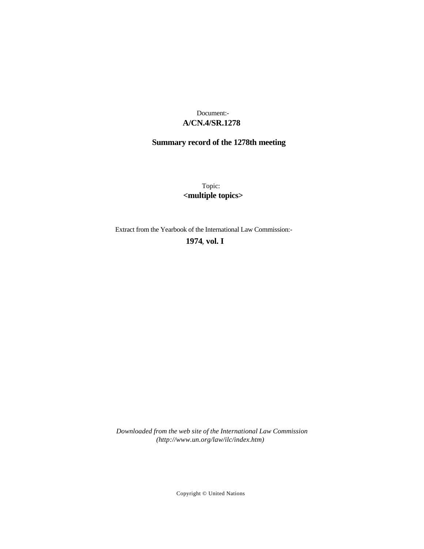# **A/CN.4/SR.1278** Document:-

# **Summary record of the 1278th meeting**

Topic: **<multiple topics>**

Extract from the Yearbook of the International Law Commission:-

# **1974** , **vol. I**

*Downloaded from the web site of the International Law Commission (http://www.un.org/law/ilc/index.htm)*

Copyright © United Nations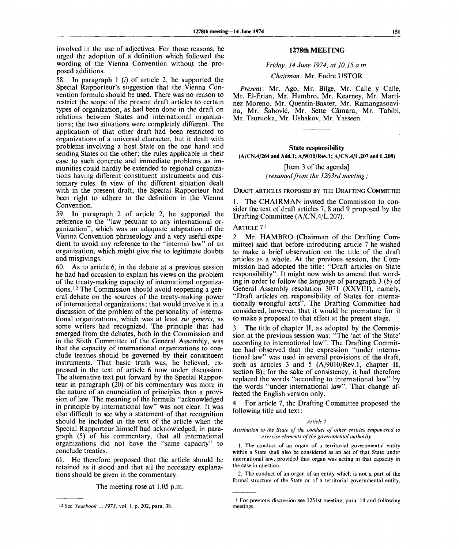involved in the use of adjectives. For those reasons, he urged the adoption of a definition which followed the wording of the Vienna Convention without the proposed additions.

58. In paragraph  $1$  (*i*) of article 2, he supported the Special Rapporteur's suggestion that the Vienna Convention formula should be used. There was no reason to restrict the scope of the present draft articles to certain types of organization, as had been done in the draft on relations between States and international organizations; the two situations were completely different. The application of that other draft had been restricted to organizations of a universal character, but it dealt with problems involving a host State on the one hand and sending States on the other; the rules applicable in their case to such concrete and immediate problems as immunities could hardly be extended to regional organizations having different constituent instruments and customary rules. In view of the different situation dealt with in the present draft, the Special Rapporteur had been right to adhere to the definition in the Vienna Convention.

59. In paragraph 2 of article 2, he supported the reference to the "law peculiar to any international organization", which was an adequate adaptation of the Vienna Convention phraseology and a very useful expedient to avoid any reference to the "internal law" of an organization, which might give rise to legitimate doubts and misgivings.

60. As to article 6, in the debate at a previous session he had had occasion to explain his views on the problem of the treaty-making capacity of international organizations.<sup>12</sup> The Commission should avoid reopening a general debate on the sources of the treaty-making power of international organizations; that would involve it in a discussion of the problem of the personality of international organizations, which was at least *sui generis,* as some writers had recognized. The principle that had emerged from the debates, both in the Commission and in the Sixth Committee of the General Assembly, was that the capacity of international organizations to conclude treaties should be governed by their constituent instruments. That basic truth was, he believed, expressed in the text of article 6 now under discussion. The alternative text put forward by the Special Rapporteur in paragraph (20) of his commentary was more in the nature of an enunciation of principles than a provision of law. The meaning of the formula "acknowledged in principle by international law" was not clear. It was also difficult to see why a statement of that recognition should be included in the text of the article when the Special Rapporteur himself had acknowledged, in paragraph (5) of his commentary, that all international organizations did not have the "same capacity" to conclude treaties.

61. He therefore proposed that the article should be retained as it stood and that all the necessary explanations should be given in the commentary.

The meeting rose at 1.05 p.m.

# **1278th MEETING**

# *Friday, 14 June 1974, at 10.15 a.m.*

## *Chairman:* Mr. Endre USTOR

*Present:* Mr. Ago, Mr. Bilge, Mr. Calle y Calle, Mr. El-Erian, Mr. Hambro, Mr. Kearney, Mr. Martinez Moreno, Mr. Quentin-Baxter, Mr. Ramangasoavina, Mr. Sahovic, Mr. Sette Camara, Mr. Tabibi, Mr. Tsuruoka, Mr. Ushakov, Mr. Yasseen.

#### **State responsibility**

**(A/CN.4/264 and Add.l; A/9010/Rev.l; A/CN.4/L.207 and L.208)**

[Item 3 of the agenda] *(resumedfrom the 1263rd meeting)*

DRAFT ARTICLES PROPOSED BY THE DRAFTING COMMITTEE

1. The CHAIRMAN invited the Commission to consider the text of draft articles 7, 8 and 9 proposed by the Drafting Committee (A/CN.4/L.207).

# ARTICLE 7*<sup>l</sup>*

2. Mr. HAMBRO (Chairman of the Drafting Committee) said that before introducing article 7 he wished to make a brief observation on the title of the draft articles as a whole. At the previous session, the Commission had adopted the title: "Draft articles on State responsibility". It might now wish to amend that wording in order to follow the language of paragraph 3 *(b)* of General Assembly resolution 3071 (XXVIII), namely, "Draft articles on responsibility of States for internationally wrongful acts". The Drafting Committee had considered, however, that it would be premature for it to make a proposal to that effect at the present stage.

3. The title of chapter II, as adopted by the Commission at the previous session was: "The 'act of the State' according to international law". The Drafting Committee had observed that the expression "under international law" was used in several provisions of the draft, such as articles 3 and 5 (A/9010/Rev.l, chapter II, section B); for the sake of consistency, it had therefore replaced the words "according to international law" by the words "under international law". That change affected the English version only.

4. For article 7, the Drafting Committee proposed the following title and text:

#### *Article 7*

*Attribution to the State of the conduct of other entities empowered to exercise elements of the governmental authority*

1. The conduct of an organ of a territorial governmental entity within a State shall also be considered as an act of that State under international law, provided that organ was acting in that capacity in the case in question.

2. The conduct of an organ of an entity which is not a part of the formal structure of the State or of a territorial governmental entity,

See *Yearbook* ... *1973,* vol. I, p. 202, para. 38.

<sup>&</sup>lt;sup>1</sup> For previous discussion see 1251st meeting, para. 14 and following meetings.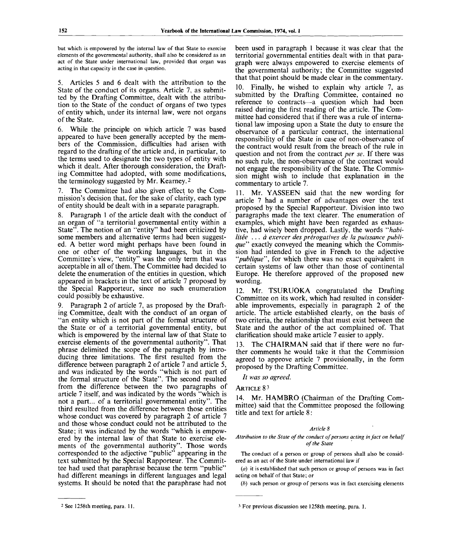but which is empowered by the internal law of that State to exercise elements of the governmental authority, shall also be considered as an act of the State under international law, provided that organ was acting in that capacity in the case in question.

5. Articles 5 and 6 dealt with the attribution to the State of the conduct of its organs. Article 7, as submitted by the Drafting Committee, dealt with the attribution to the State of the conduct of organs of two types of entity which, under its internal law, were not organs of the State.

6. While the principle on which article 7 was based appeared to have been generally accepted by the members of the Commission, difficulties had arisen with regard to the drafting of the article and, in particular, to the terms used to designate the two types of entity with which it dealt. After thorough consideration, the Drafting Committee had adopted, with some modifications, the terminology suggested by Mr. Kearney.<sup>2</sup>

7. The Committee had also given effect to the Commission's decision that, for the sake of clarity, each type of entity should be dealt with in a separate paragraph.

8. Paragraph 1 of the article dealt with the conduct of an organ of "a territorial governmental entity within a State". The notion of an "entity" had been criticized by some members and alternative terms had been suggested. A better word might perhaps have been found in one or other of the working languages, but in the Committee's view, "entity" was the only term that was acceptable in all of them. The Committee had decided to delete the enumeration of the entities in question, which appeared in brackets in the text of article 7 proposed by the Special Rapporteur, since no such enumeration could possibly be exhaustive.

9. Paragraph 2 of article 7, as proposed by the Drafting Committee, dealt with the conduct of an organ of "an entity which is not part of the formal structure of the State or of a territorial governmental entity, but which is empowered by the internal law of that State to exercise elements of the governmental authority". That phrase delimited the scope of the paragraph by introducing three limitations. The first resulted from the difference between paragraph 2 of article 7 and article 5, and was indicated by the words "which is not part of the formal structure of the State". The second resulted from the difference between the two paragraphs of article 7 itself, and was indicated by the words "which is not a part... of a territorial governmental entity". The third resulted from the difference between those entities whose conduct was covered by paragraph 2 of article 7 and those whose conduct could not be attributed to the State; it was indicated by the words "which is empowered by the internal law of that State to exercise elements of the governmental authority". Those words corresponded to the adjective "public" appearing in the text submitted by the Special Rapporteur. The Committee had used that paraphrase because the term "public" had different meanings in different languages and legal systems. It should be noted that the paraphrase had not

been used in paragraph 1 because it was clear that the territorial governmental entities dealt with in that paragraph were always empowered to exercise elements of the governmental authority; the Committee suggested that that point should be made clear in the commentary.

10. Finally, he wished to explain why article 7, as submitted by the Drafting Committee, contained no reference to contracts—a question which had been raised during the first reading of the article. The Committee had considered that if there was a rule of international law imposing upon a State the duty to ensure the observance of a particular contract, the international responsibility of the State in case of non-observance of the contract would result from the breach of the rule in question and not from the contract *per se.* If there was no such rule, the non-observance of the contract would not engage the responsibility of the State. The Commission might wish to include that explanation in the commentary to article 7.

11. Mr. YASSEEN said that the new wording for article 7 had a number of advantages over the text proposed by the Special Rapporteur. Division into two paragraphs made the text clearer. The enumeration of examples, which might have been regarded as exhaustive, had wisely been dropped. Lastly, the words *"habilitee . . . a exercer des prerogatives de la puissance publique"* exactly conveyed the meaning which the Commission had intended to give in French to the adjective "*publique"*', for which there was no exact equivalent in certain systems of law other than those of continental Europe. He therefore approved of the proposed new wording.

12. Mr. TSURUOKA congratulated the Drafting Committee on its work, which had resulted in considerable improvements, especially in paragraph 2 of the article. The article established clearly, on the basis of two criteria, the relationship that must exist between the State and the author of the act complained of. That clarification should make article 7 easier to apply.

13. The CHAIRMAN said that if there were no further comments he would take it that the Commission agreed to approve article 7 provisionally, in the form proposed by the Drafting Committee.

*It was so agreed.*

# ARTICLE 8<sup>3</sup>

14. Mr. HAMBRO (Chairman of the Drafting Committee) said that the Committee proposed the following title and text for article 8 :

# *Article 8*

*Attribution to the State of the conduct of persons acting in fact on behalf of the State*

The conduct of a person or group of persons shall also be considered as an act of the State under international law if

*(a)* it is established that such person or group of persons was in fact acting on behalf of that State; or

*(b)* such person or group of persons was in fact exercising elements

<sup>2</sup> See 1258th meeting, para. 11.

<sup>3</sup> For previous discussion see 1258th meeting, para. 1.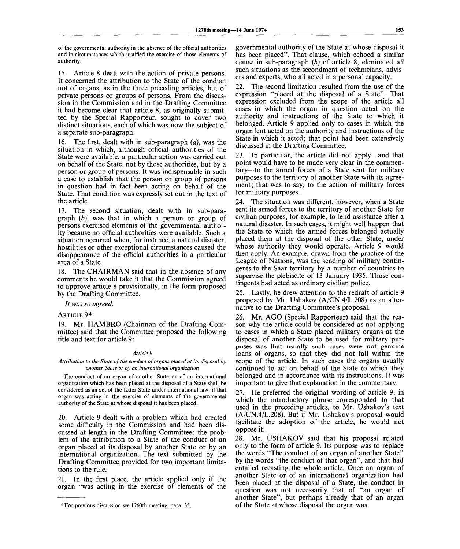of the governmental authority in the absence of the official authorities and in circumstances which justified the exercise of those elements of authority.

15. Article 8 dealt with the action of private persons. It concerned the attribution to the State of the conduct not of organs, as in the three preceding articles, but of private persons or groups of persons. From the discussion in the Commission and in the Drafting Committee it had become clear that article 8, as originally submitted by the Special Rapporteur, sought to cover two distinct situations, each of which was now the subject of a separate sub-paragraph.

16. The first, dealt with in sub-paragraph *(a),* was the situation in which, although official authorities of the State were available, a particular action was carried out on behalf of the State, not by those authorities, but by a person or group of persons. It was indispensable in such a case to establish that the person or group of persons in question had in fact been acting on behalf of the State. That condition was expressly set out in the text of the article.

17. The second situation, dealt with in sub-paragraph *(b),* was that in which a person or group of persons exercised elements of the governmental authority because no official authorities were available. Such a situation occurred when, for instance, a natural disaster, hostilities or other exceptional circumstances caused the disappearance of the official authorities in a particular area of a State.

18. The CHAIRMAN said that in the absence of any comments he would take it that the Commission agreed to approve article 8 provisionally, in the form proposed by the Drafting Committee.

*It was so agreed.*

ARTICLE 9<sup>4</sup>

19. Mr. HAMBRO (Chairman of the Drafting Committee) said that the Committee proposed the following title and text for article 9:

## *Article 9*

*Attribution to the State of the conduct of organs placed at its disposal by another State or by an international organization*

The conduct of an organ of another State or of an international organization which has been placed at the disposal of a State shall be considered as an act of the latter State under international law, if that organ was acting in the exercise of elements of the governmental authority of the State at whose disposal it has been placed.

20. Article 9 dealt with a problem which had created some difficulty in the Commission and had been discussed at length in the Drafting Committee: the problem of the attribution to a State of the conduct of an organ placed at its disposal by another State or by an international organization. The text submitted by the Drafting Committee provided for two important limitations to the rule.

21. In the first place, the article applied only if the organ "was acting in the exercise of elements of the

governmental authority of the State at whose disposal it has been placed". That clause, which echoed a similar clause in sub-paragraph *(b)* of article 8, eliminated all such situations as the secondment of technicians, advisers and experts, who all acted in a personal capacity.

22. The second limitation resulted from the use of the expression "placed at the disposal of a State". That expression excluded from the scope of the article all cases in which the organ in question acted on the authority and instructions of the State to which it belonged. Article 9 applied only to cases in which the organ lent acted on the authority and instructions of the State in which it acted; that point had been extensively discussed in the Drafting Committee.

23. In particular, the article did not apply—and that point would have to be made very clear in the commentary—to the armed forces of a State sent for military purposes to the territory of another State with its agreement; that was to say, to the action of military forces for military purposes.

24. The situation was different, however, when a State sent its armed forces to the territory of another State for civilian purposes, for example, to lend assistance after a natural disaster. In such cases, it might well happen that the State to which the armed forces belonged actually placed them at the disposal of the other State, under whose authority they would operate. Article 9 would then apply. An example, drawn from the practice of the League of Nations, was the sending of military contingents to the Saar territory by a number of countries to supervise the plebiscite of 13 January 1935. Those contingents had acted as ordinary civilian police.

25. Lastly, he drew attention to the redraft of article 9 proposed by Mr. Ushakov (A/CN.4/L.208) as an alternative to the Drafting Committee's proposal.

26. Mr. AGO (Special Rapporteur) said that the reason why the article could be considered as not applying to cases in which a State placed military organs at the disposal of another State to be used for military purposes was that usually such cases were not genuine loans of organs, so that they did not fall within the scope of the article. In such cases the organs usually continued to act on behalf of the State to which they belonged and in accordance with its instructions. It was important to give that explanation in the commentary.

27. He preferred the original wording of article 9, in which the introductory phrase corresponded to that used in the preceding articles, to Mr. Ushakov's text (A/CN.4/L.208). But if Mr. Ushakov's proposal would facilitate the adoption of the article, he would not oppose it.

28. Mr. USHAKOV said that his proposal related only to the form of article 9. Its purpose was to replace the words "The conduct of an organ of another State" by the words "the conduct of that organ", and that had entailed recasting the whole article. Once an organ of another State or of an international organization had been placed at the disposal of a State, the conduct in question was not necessarily that of "an organ of another State", but perhaps already that of an organ of the State at whose disposal the organ was.

<sup>4</sup> For previous discussion see 1260th meeting, para. 35.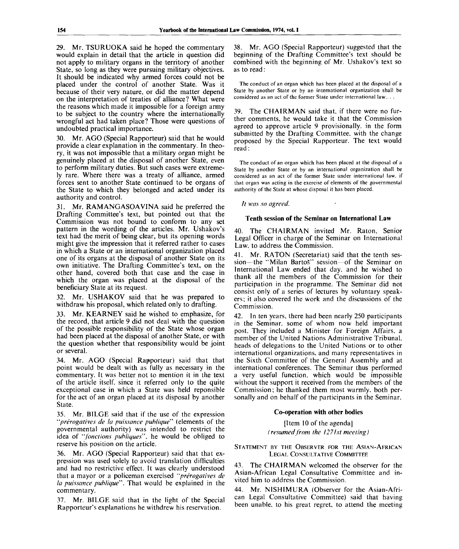29. Mr. TSURUOKA said he hoped the commentary would explain in detail that the article in question did not apply to military organs in the territory of another State, so long as they were pursuing military objectives. It should be indicated why armed forces could not be placed under the control of another State. Was it because of their very nature, or did the matter depend on the interpretation of treaties of alliance? What were the reasons which made it impossible for a foreign army to be subject to the country where the internationally wrongful act had taken place? Those were questions of undoubted practical importance.

Mr. AGO (Special Rapporteur) said that he would provide a clear explanation in the commentary. In theory, it was not impossible that a military organ might be genuinely placed at the disposal of another State, even to perform military duties. But such cases were extremely rare. Where there was a treaty of alliance, armed forces sent to another State continued to be organs of the State to which they belonged and acted under its authority and control.

31. Mr. RAMANGASOAVINA said he preferred the Drafting Committee's text, but pointed out that the Commission was not bound to conform to any set pattern in the wording of the articles. Mr. Ushakov's text had the merit of being clear, but its opening words might give the impression that it referred rather to cases in which a State or an international organization placed one of its organs at the disposal of another State on its own initiative. The Drafting Committee's text, on the other hand, covered both that case and the case in which the organ was placed at the disposal of the beneficiary State at its request.

32. Mr. USHAKOV said that he was prepared to withdraw his proposal, which related only to drafting.

33. Mr. KEARNEY said he wished to emphasize, for the record, that article 9 did not deal with the question of the possible responsibility of the State whose organ had been placed at the disposal of another State, or with the question whether that responsibility would be joint or several.

34. Mr. AGO (Special Rapporteur) said that that point would be dealt with as fully as necessary in the commentary. It was better not to mention it in the text of the article itself, since it referred only to the quite exceptional case in which a State was held reponsible for the act of an organ placed at its disposal by another State.

35. Mr. BILGE said that if the use of the expression *'"prerogatives de la puissance pubiique""* (elements of the governmental authority) was intended to restrict the idea of *"fonctions publiques",* he would be obliged to reserve his position on the article.

36. Mr. AGO (Special Rapporteur) said that that expression was used solely to avoid translation difficulties and had no restrictive effect. It was clearly understood that a mayor or a policeman exercised *'"prerogatives de la puissance pubiique".* That would be explained in the commentary.

37. Mr. BILGE said that in the light of the Special Rapporteur's explanations he withdrew his reservation.

38. Mr. AGO (Special Rapporteur) suggested that the beginning of the Drafting Committee's text should be combined with the beginning of Mr. Ushakov's text so as to read:

The conduct of an organ which has been placed at the disposal of a State by another State or by an international organization shall be considered as an act of the former State under international law. . .

39. The CHAIRMAN said that, if there were no further comments, he would take it that the Commission agreed to approve article 9 provisionally, in the form submitted by the Drafting Committee, with the change proposed by the Special Rapporteur. The text would read:

The conduct of an organ which has been placed at the disposal of a State by another State or by an international organization shall be considered as an act of the former State under international law, if that organ was acting in the exercise of elements of the governmental authority of the State at whose disposal it has been placed.

// *was so agreed.*

# **Tenth session of the Seminar on International** Law

40. The CHAIRMAN invited Mr. Raton, Senior Legal Officer in charge of the Seminar on International Law. to address the Commission.

41. Mr. RATON (Secretariat) said that the tenth session—the "Milan BartoS" session—of the Seminar on International Law ended that day, and he wished to thank all the members of the Commission for their participation in the programme. The Seminar did not consist only of a series of lectures by voluntary speakers; it also covered the work and the discussions of the Commission.

42. In ten years, there had been nearly 250 participants in the Seminar, some of whom now held important post. They included a Minister for Foreign Affairs, a member of the United Nations Administrative Tribunal, heads of delegations to the United Nations or to other international organizations, and many representatives in the Sixth Committee of the General Assembly and at international conferences. The Seminar thus performed a very useful function, which would be impossible without the support it received from the members of the Commission; he thanked them most warmly, both personally and on behalf of the participants in the Seminar.

# **Co-operation with other bodies**

[Item 10 of the agenda] *(resumed from the 1271st meeting)*

STATEMENT BY THE OBSERVER FOR THE ASIAN-AFRICAN LEGAL CONSULTATIVE COMMITTEE

43. The CHAIRMAN welcomed the observer for the Asian-African Legal Consultative Committee and invited him to address the Commission.

44. Mr. NISHIMURA (Observer for the Asian-African Legal Consultative Committee) said that having been unable, to his great regret, to attend the meeting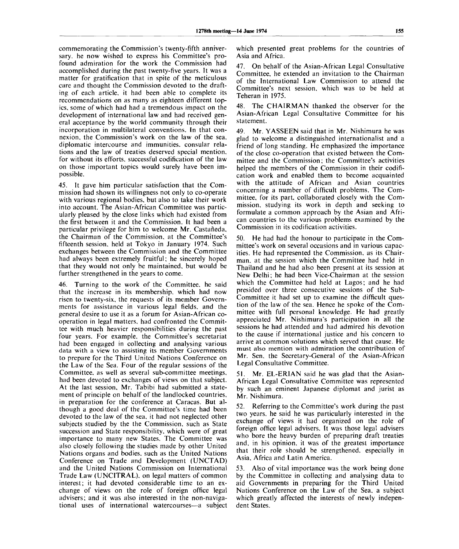commemorating the Commission's twenty-fifth anniversary, he now wished to express his Committee's profound admiration for the work the Commission had accomplished during the past twenty-five years. It was a matter for gratification that in spite of the meticulous care and thought the Commission devoted to the drafting of each article, it had been able to complete its recommendations on as many as eighteen different topics, some of which had had a tremendous impact on the development of international law and had received general acceptance by the world community through their incorporation in multilateral conventions. In that connexion, the Commission's work on the law of the sea, diplomatic intercourse and immunities, consular relations and the law of treaties deserved special mention, for without its efforts, successful codification of the law on those important topics would surely have been impossible.

45. It gave him particular satisfaction that the Commission had shown its willingness not only to co-operate with various regional bodies, but also to take their work into account. The Asian-African Committee was particularly pleased by the close links which had existed from the first between it and the Commission. It had been a particular privilege for him to welcome Mr. Castaneda, the Chairman of the Commission, at the Committee's fifteenth session, held at Tokyo in January 1974. Such exchanges between the Commission and the Committee had always been extremely fruitful; he sincerely hoped that they would not only be maintained, but would be further strengthened in the years to come.

46. Turning to the work of the Committee, he said that the increase in its membership, which had now risen to twenty-six, the requests of its member Governments for assistance in various legal fields, and the general desire to use it as a forum for Asian-African cooperation in legal matters, had confronted the Committee with much heavier responsibilities during the past four years. For example, the Committee's secretariat had been engaged in collecting and analysing various data with a view to assisting its member Governments to prepare for the Third United Nations Conference on the Law of the Sea. Four of the regular sessions of the Committee, as well as several sub-committee meetings, had been devoted to exchanges of views on that subject. At the last session, Mr. Tabibi had submitted a statement of principle on behalf of the landlocked countries, in preparation for the conference at Caracas. But although a good deal of the Committee's time had been devoted to the law of the sea, it had not neglected other subjects studied by the the Commission, such as State succession and State responsibility, which were of great importance to many new States. The Committee was also closely following the studies made by other United Nations organs and bodies, such as the United Nations Conference on Trade and Development (UNCTAD) and the United Nations Commission on International Trade Law (UNCITRAL). on legal matters of common interest; it had devoted considerable time to an exchange of views on the role of foreign office legal advisers; and it was also interested in the non-navigational uses of international watercourses—a subject which presented great problems for the countries of Asia and Africa.

47. On behalf of the Asian-African Legal Consultative Committee, he extended an invitation to the Chairman of the International Law Commission to attend the Committee's next session, which was to be held at Teheran in 1975.

48. The CHAIRMAN thanked the observer for the Asian-African Legal Consultative Committee for his statement.

49. Mr. YASSEEN said that in Mr. Nishimura he was glad to welcome a distinguished internationalist and a friend of long standing. He emphasized the importance of the close co-operation that existed between the Committee and the Commission; the Committee's activities helped the members of the Commission in their codification work and enabled them to become acquainted with the attitude of African and Asian countries concerning a number of difficult problems. The Committee, for its part, collaborated closely with the Commission, studying its work in depth and seeking to formulate a common approach by the Asian and African countries to the various problems examined by the Commission in its codification activities.

50. He had had the honour to participate in the Committee's work on several occasions and in various capacities. He had represented the Commission, as its Chairman, at the session which the Committee had held in Thailand and he had also been present at its session at New Delhi; he had been Vice-Chairman at the session which the Committee had held at Lagos; and he had presided over three consecutive sessions of the Sub-Committee it had set up to examine the difficult question of the law of the sea. Hence he spoke of the Committee with full personal knowledge. He had greatly appreciated Mr. Nishimura's participation in all the sessions he had attended and had admired his devotion to the cause if international justice and his concern to arrive at common solutions which served that cause. He must also mention with admiration the contribution of Mr. Sen, the Secretary-General of the Asian-African Legal Consultative Committee.

51. Mr. EL-ERIAN said he was glad that the Asian-African Legal Consultative Committee was represented by such an eminent Japanese diplomat and jurist as Mr. Nishimura.

52. Referring to the Committee's work during the past two years, he said he was particularly interested in the exchange of views it had organized on the role of foreign office legal advisers. It was those legal advisers who bore the heavy burden of preparing draft treaties and, in his opinion, it was of the greatest importance that their role should be strengthened, especially in Asia, Africa and Latin America.

53. Also of vital importance was the work being done by the Committee in collecting and analysing data to aid Governments in preparing for the Third United Nations Conference on the Law of the Sea, a subject which greatly affected the interests of newly independent States.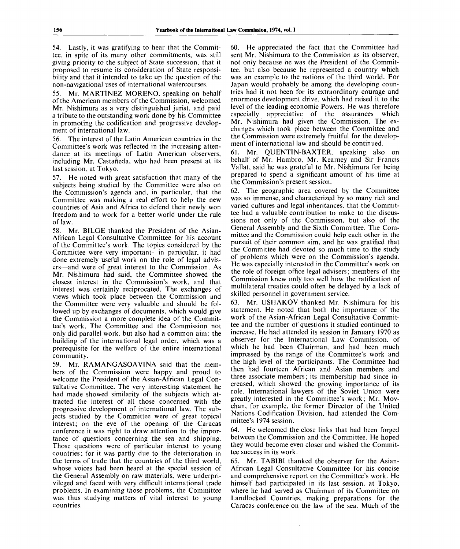54. Lastly, it was gratifying to hear that the Committee, in spite of its many other commitments, was still giving priority to the subject of State succession, that it proposed to resume its consideration of State responsibility and that it intended to take up the question of the non-navigational uses of international watercourses.

Mr. MARTINEZ MORENO, speaking on behalf of the American members of the Commission, welcomed Mr. Nishimura as a very distinguished jurist, and paid a tribute to the outstanding work done by his Committee in promoting the codification and progressive development of international law.

56. The interest of the Latin American countries in the Committee's work was reflected in the increasing attendance at its meetings of Latin American observers, including Mr. Castañeda, who had been present at its last session, at Tokyo.

57. He noted with great satisfaction that many of the subjects being studied by the Committee were also on the Commission's agenda and, in particular, that the Committee was making a real effort to help the new countries of Asia and Africa to defend their newly won freedom and to work for a better world under the rule of law.

58. Mr. BILGE thanked the President of the Asian-African Legal Consultative Committee for his account of the Committee's work. The topics considered by the Committee were very important—in particular, it had done extremely useful work on the role of legal advisers—and were of great interest to the Commission. As Mr. Nishimura had said, the Committee showed the closest interest in the Commission's work, and that interest was certainly reciprocated. The exchanges of views which took place between the Commission and the Committee were very valuable and should be followed up by exchanges of documents, which would give the Commission a more complete idea of the Committee's work. The Committee and the Commission not only did parallel work, but also had a common aim: the building of the international legal order, which was a prerequisite for the welfare of the entire international community.

59. Mr. RAMANGASOAVINA said that the members of the Commission were happy and proud to welcome the President of the Asian-African Legal Consultative Committee. The very interesting statement he had made showed similarity of the subjects which attracted the interest of all those concerned with the progressive development of international law. The subjects studied by the Committee were of great topical interest; on the eve of the opening of the Caracas conference it was right to draw attention to the importance of questions concerning the sea and shipping. Those questions were of particular interest to young countries; for it was partly due to the deterioration in the terms of trade that the countries of the third world, whose voices had been heard at the special session of the General Assembly on raw materials, were underprivileged and faced with very difficult international trade problems. In examining those problems, the Committee was thus studying matters of vital interest to young countries.

60. He appreciated the fact that the Committee had sent Mr. Nishimura to the Commission as its observer, not only because he was the President of the Committee, but also because he represented a country which was an example to the nations of the third world. For Japan would probably be among the developing countries had it not been for its extraordinary courage and enormous development drive, which had raised it to the level of the leading economic Powers. He was therefore especially appreciative of the assurances which Mr. Nishimura had given the Commission. The exchanges which took place between the Committee and the Commission were extremely fruitful for the development of international law and should be continued.

61. Mr. QUENTIN-BAXTER, speaking also on behalf of Mr. Hambro, Mr. Kearney and Sir Francis Vallat, said he was grateful to Mr. Nishimura for being prepared to spend a significant amount of his time at the Commission's present session.

62. The geographic area covered by the Committee was so immense, and characterized by so many rich and varied cultures and legal inheritances, that the Committee had a valuable contribution to make to the discussions not only of the Commission, but also of the General Assembly and the Sixth Committee. The Committee and the Commission could help each other in the pursuit of their common aim, and he was gratified that the Committee had devoted so much time to the study of problems which were on the Commission's agenda. He was especially interested in the Committee's work on the role of foreign office legal advisers; members of the Commission knew only too well how the ratification of multilateral treaties could often be delayed by a lack of skilled personnel in government service.

63. Mr. USHAKOV thanked Mr. Nishimura for his statement. He noted that both the importance of the work of the Asian-African Legal Consultative Committee and the number of questions it studied continued to increase. He had attended its session in January 1970 as observer for the International Law Commission, of which he had been Chairman, and had been much impressed by the range of the Committee's work and the high level of the participants. The Committee had then had fourteen African and Asian members and three associate members; its membership had since increased, which showed the growing importance of its role. International lawyers of the Soviet Union were greatly interested in the Committee's work; Mr. Movchan, for example, the former Director of the United Nations Codification Division, had attended the Committee's 1974 session.

64. He welcomed the close links that had been forged between the Commission and the Committee. He hoped they would become even closer and wished the Committee success in its work.

65. Mr. TABIBI thanked the observer for the Asian-African Legal Consultative Committee for his concise and comprehensive report on the Committee's work. He himself had participated in its last session, at Tokyo, where he had served as Chairman of its Committee on Landlocked Countries, making preparations for the Caracas conference on the law of the sea. Much of the